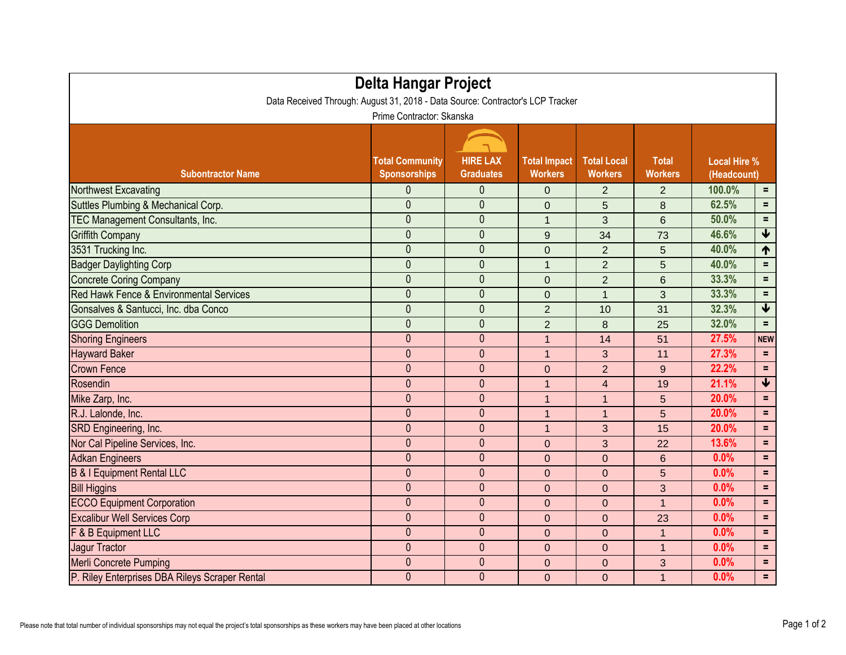| <b>Delta Hangar Project</b><br>Data Received Through: August 31, 2018 - Data Source: Contractor's LCP Tracker<br>Prime Contractor: Skanska |                |                |                |                |                |        |                         |  |  |  |  |
|--------------------------------------------------------------------------------------------------------------------------------------------|----------------|----------------|----------------|----------------|----------------|--------|-------------------------|--|--|--|--|
|                                                                                                                                            |                |                |                |                |                |        |                         |  |  |  |  |
| Northwest Excavating                                                                                                                       | 0              | 0              | $\overline{0}$ | $\overline{2}$ | $\overline{2}$ | 100.0% | $=$                     |  |  |  |  |
| Suttles Plumbing & Mechanical Corp.                                                                                                        | 0              | $\overline{0}$ | $\overline{0}$ | 5              | 8              | 62.5%  | $=$                     |  |  |  |  |
| TEC Management Consultants, Inc.                                                                                                           | $\mathbf 0$    | $\theta$       | $\mathbf 1$    | 3              | 6              | 50.0%  | $=$                     |  |  |  |  |
| <b>Griffith Company</b>                                                                                                                    | $\overline{0}$ | $\overline{0}$ | 9              | 34             | 73             | 46.6%  | $\blacklozenge$         |  |  |  |  |
| 3531 Trucking Inc.                                                                                                                         | $\overline{0}$ | $\mathbf{0}$   | $\overline{0}$ | $\overline{2}$ | 5              | 40.0%  | 1                       |  |  |  |  |
| <b>Badger Daylighting Corp</b>                                                                                                             | $\mathbf 0$    | $\mathbf{0}$   | $\mathbf{1}$   | $\overline{2}$ | 5              | 40.0%  | $=$                     |  |  |  |  |
| <b>Concrete Coring Company</b>                                                                                                             | 0              | $\theta$       | $\overline{0}$ | $\overline{2}$ | 6              | 33.3%  | $=$                     |  |  |  |  |
| Red Hawk Fence & Environmental Services                                                                                                    | 0              | $\mathbf{0}$   | $\overline{0}$ | 1              | 3              | 33.3%  | $=$                     |  |  |  |  |
| Gonsalves & Santucci, Inc. dba Conco                                                                                                       | $\mathbf 0$    | $\mathbf{0}$   | $\overline{2}$ | 10             | 31             | 32.3%  | $\blacklozenge$         |  |  |  |  |
| <b>GGG Demolition</b>                                                                                                                      | $\overline{0}$ | $\overline{0}$ | $\overline{2}$ | 8              | 25             | 32.0%  | $\equiv$                |  |  |  |  |
| <b>Shoring Engineers</b>                                                                                                                   | 0              | $\theta$       | $\overline{1}$ | 14             | 51             | 27.5%  | <b>NEW</b>              |  |  |  |  |
| <b>Hayward Baker</b>                                                                                                                       | $\mathbf{0}$   | $\mathbf{0}$   | $\mathbf{1}$   | 3              | 11             | 27.3%  | $=$                     |  |  |  |  |
| <b>Crown Fence</b>                                                                                                                         | $\mathbf{0}$   | $\mathbf{0}$   | $\overline{0}$ | $\overline{2}$ | 9              | 22.2%  | $\equiv$                |  |  |  |  |
| Rosendin                                                                                                                                   | $\mathbf{0}$   | $\mathbf{0}$   | $\mathbf 1$    | $\overline{4}$ | 19             | 21.1%  | $\overline{\mathbf{V}}$ |  |  |  |  |
| Mike Zarp, Inc.                                                                                                                            | $\mathbf{0}$   | $\mathbf{0}$   | $\mathbf{1}$   | $\mathbf{1}$   | 5              | 20.0%  | $=$                     |  |  |  |  |
| R.J. Lalonde, Inc.                                                                                                                         | $\mathbf{0}$   | $\theta$       | $\mathbf 1$    | $\mathbf{1}$   | 5              | 20.0%  | $=$                     |  |  |  |  |
| SRD Engineering, Inc.                                                                                                                      | $\mathbf 0$    | $\theta$       | $\mathbf{1}$   | 3              | 15             | 20.0%  | $=$                     |  |  |  |  |
| Nor Cal Pipeline Services, Inc.                                                                                                            | $\theta$       | $\theta$       | $\overline{0}$ | 3              | 22             | 13.6%  | $=$                     |  |  |  |  |
| <b>Adkan Engineers</b>                                                                                                                     | 0              | $\theta$       | $\overline{0}$ | $\overline{0}$ | 6              | 0.0%   | $=$                     |  |  |  |  |
| <b>B &amp; I Equipment Rental LLC</b>                                                                                                      | 0              | $\mathbf{0}$   | $\overline{0}$ | $\overline{0}$ | 5              | 0.0%   | $=$                     |  |  |  |  |
| <b>Bill Higgins</b>                                                                                                                        | $\mathbf{0}$   | $\theta$       | $\overline{0}$ | $\overline{0}$ | 3              | 0.0%   | $=$                     |  |  |  |  |
| <b>ECCO Equipment Corporation</b>                                                                                                          | $\overline{0}$ | $\mathbf{0}$   | $\overline{0}$ | $\Omega$       | $\mathbf 1$    | 0.0%   | $\equiv$                |  |  |  |  |
| <b>Excalibur Well Services Corp</b>                                                                                                        | $\mathbf 0$    | $\overline{0}$ | $\mathbf 0$    | $\mathbf 0$    | 23             | 0.0%   | $=$                     |  |  |  |  |
| <b>F &amp; B Equipment LLC</b>                                                                                                             | $\mathbf 0$    | $\mathbf{0}$   | $\mathbf{0}$   | $\overline{0}$ | $\mathbf 1$    | 0.0%   | $=$                     |  |  |  |  |
| Jagur Tractor                                                                                                                              | $\mathbf 0$    | $\mathbf{0}$   | $\overline{0}$ | $\overline{0}$ |                | 0.0%   | $=$                     |  |  |  |  |
| Merli Concrete Pumping                                                                                                                     | $\overline{0}$ | $\mathbf{0}$   | $\mathbf 0$    | $\overline{0}$ | 3 <sup>1</sup> | 0.0%   | $\equiv$                |  |  |  |  |
| P. Riley Enterprises DBA Rileys Scraper Rental                                                                                             | $\mathbf{0}$   | $\overline{0}$ | $\mathbf{0}$   | $\overline{0}$ | $\mathbf 1$    | 0.0%   | $\equiv$ .              |  |  |  |  |